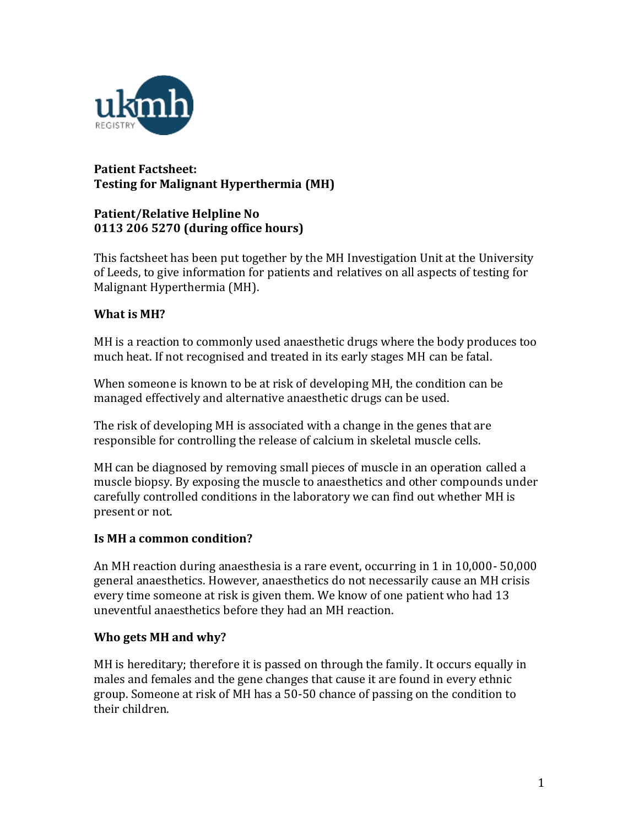

# **Patient Factsheet: Testing for Malignant Hyperthermia (MH)**

# **Patient/Relative Helpline No 0113 206 5270 (during office hours)**

This factsheet has been put together by the MH Investigation Unit at the University of Leeds, to give information for patients and relatives on all aspects of testing for Malignant Hyperthermia (MH).

# **What is MH?**

MH is a reaction to commonly used anaesthetic drugs where the body produces too much heat. If not recognised and treated in its early stages MH can be fatal.

When someone is known to be at risk of developing MH, the condition can be managed effectively and alternative anaesthetic drugs can be used.

The risk of developing MH is associated with a change in the genes that are responsible for controlling the release of calcium in skeletal muscle cells.

MH can be diagnosed by removing small pieces of muscle in an operation called a muscle biopsy. By exposing the muscle to anaesthetics and other compounds under carefully controlled conditions in the laboratory we can find out whether MH is present or not.

# **Is MH a common condition?**

An MH reaction during anaesthesia is a rare event, occurring in 1 in 10,000- 50,000 general anaesthetics. However, anaesthetics do not necessarily cause an MH crisis every time someone at risk is given them. We know of one patient who had 13 uneventful anaesthetics before they had an MH reaction.

# **Who gets MH and why?**

MH is hereditary; therefore it is passed on through the family. It occurs equally in males and females and the gene changes that cause it are found in every ethnic group. Someone at risk of MH has a 50-50 chance of passing on the condition to their children.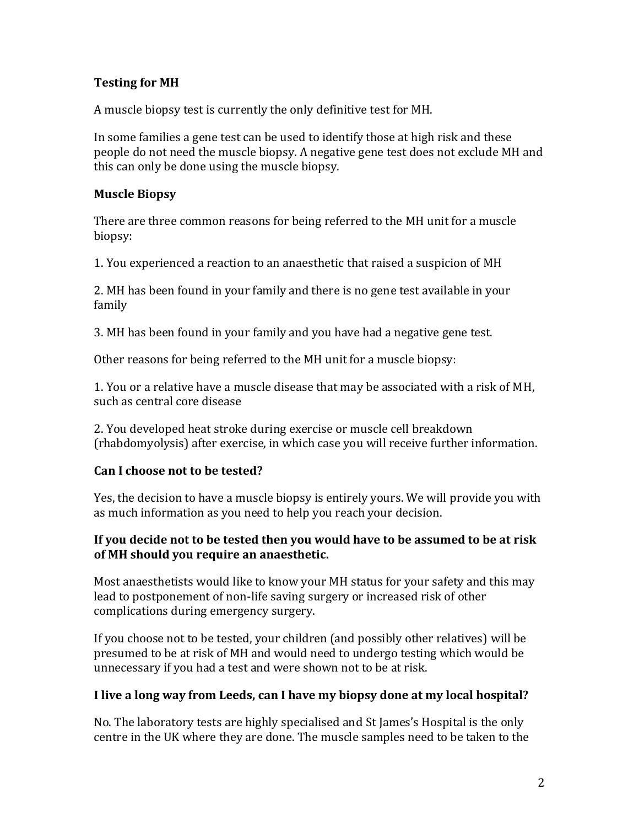# **Testing for MH**

A muscle biopsy test is currently the only definitive test for MH.

In some families a gene test can be used to identify those at high risk and these people do not need the muscle biopsy. A negative gene test does not exclude MH and this can only be done using the muscle biopsy.

#### **Muscle Biopsy**

There are three common reasons for being referred to the MH unit for a muscle biopsy:

1. You experienced a reaction to an anaesthetic that raised a suspicion of MH

2. MH has been found in your family and there is no gene test available in your family

3. MH has been found in your family and you have had a negative gene test.

Other reasons for being referred to the MH unit for a muscle biopsy:

1. You or a relative have a muscle disease that may be associated with a risk of MH, such as central core disease

2. You developed heat stroke during exercise or muscle cell breakdown (rhabdomyolysis) after exercise, in which case you will receive further information.

#### **Can I choose not to be tested?**

Yes, the decision to have a muscle biopsy is entirely yours. We will provide you with as much information as you need to help you reach your decision.

#### **If you decide not to be tested then you would have to be assumed to be at risk of MH should you require an anaesthetic.**

Most anaesthetists would like to know your MH status for your safety and this may lead to postponement of non-life saving surgery or increased risk of other complications during emergency surgery.

If you choose not to be tested, your children (and possibly other relatives) will be presumed to be at risk of MH and would need to undergo testing which would be unnecessary if you had a test and were shown not to be at risk.

#### **I live a long way from Leeds, can I have my biopsy done at my local hospital?**

No. The laboratory tests are highly specialised and St James's Hospital is the only centre in the UK where they are done. The muscle samples need to be taken to the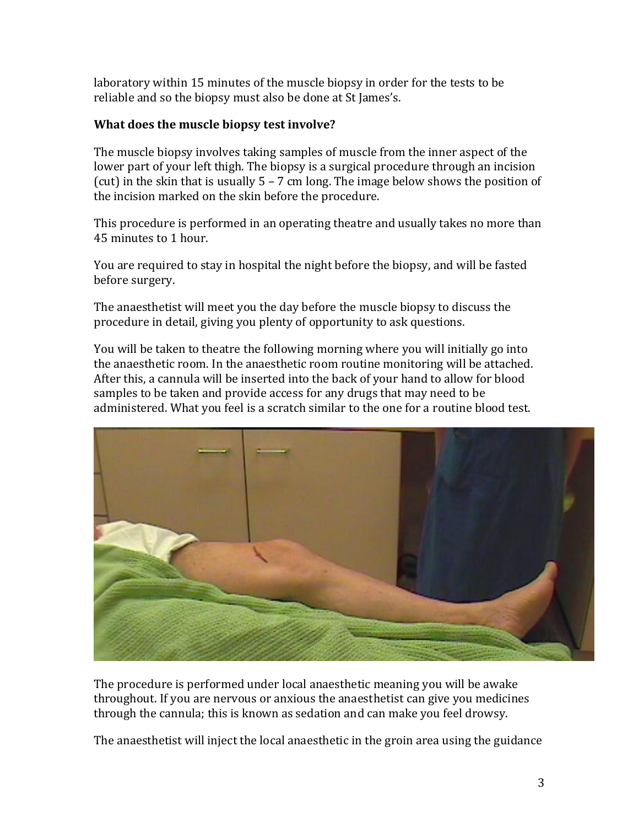laboratory within 15 minutes of the muscle biopsy in order for the tests to be reliable and so the biopsy must also be done at St James's.

# **What does the muscle biopsy test involve?**

The muscle biopsy involves taking samples of muscle from the inner aspect of the lower part of your left thigh. The biopsy is a surgical procedure through an incision (cut) in the skin that is usually  $5 - 7$  cm long. The image below shows the position of the incision marked on the skin before the procedure.

This procedure is performed in an operating theatre and usually takes no more than 45 minutes to 1 hour.

You are required to stay in hospital the night before the biopsy, and will be fasted before surgery.

The anaesthetist will meet you the day before the muscle biopsy to discuss the procedure in detail, giving you plenty of opportunity to ask questions.

You will be taken to theatre the following morning where you will initially go into the anaesthetic room. In the anaesthetic room routine monitoring will be attached. After this, a cannula will be inserted into the back of your hand to allow for blood samples to be taken and provide access for any drugs that may need to be administered. What you feel is a scratch similar to the one for a routine blood test.



The procedure is performed under local anaesthetic meaning you will be awake throughout. If you are nervous or anxious the anaesthetist can give you medicines through the cannula; this is known as sedation and can make you feel drowsy.

The anaesthetist will inject the local anaesthetic in the groin area using the guidance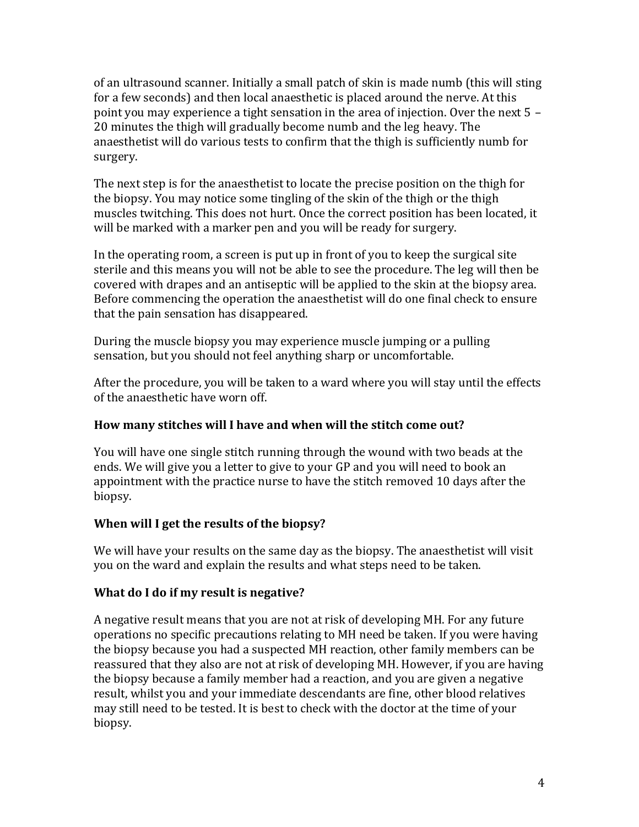of an ultrasound scanner. Initially a small patch of skin is made numb (this will sting for a few seconds) and then local anaesthetic is placed around the nerve. At this point you may experience a tight sensation in the area of injection. Over the next 5 – 20 minutes the thigh will gradually become numb and the leg heavy. The anaesthetist will do various tests to confirm that the thigh is sufficiently numb for surgery.

The next step is for the anaesthetist to locate the precise position on the thigh for the biopsy. You may notice some tingling of the skin of the thigh or the thigh muscles twitching. This does not hurt. Once the correct position has been located, it will be marked with a marker pen and you will be ready for surgery.

In the operating room, a screen is put up in front of you to keep the surgical site sterile and this means you will not be able to see the procedure. The leg will then be covered with drapes and an antiseptic will be applied to the skin at the biopsy area. Before commencing the operation the anaesthetist will do one final check to ensure that the pain sensation has disappeared.

During the muscle biopsy you may experience muscle jumping or a pulling sensation, but you should not feel anything sharp or uncomfortable.

After the procedure, you will be taken to a ward where you will stay until the effects of the anaesthetic have worn off.

# **How many stitches will I have and when will the stitch come out?**

You will have one single stitch running through the wound with two beads at the ends. We will give you a letter to give to your GP and you will need to book an appointment with the practice nurse to have the stitch removed 10 days after the biopsy.

# **When will I get the results of the biopsy?**

We will have your results on the same day as the biopsy. The anaesthetist will visit you on the ward and explain the results and what steps need to be taken.

# **What do I do if my result is negative?**

A negative result means that you are not at risk of developing MH. For any future operations no specific precautions relating to MH need be taken. If you were having the biopsy because you had a suspected MH reaction, other family members can be reassured that they also are not at risk of developing MH. However, if you are having the biopsy because a family member had a reaction, and you are given a negative result, whilst you and your immediate descendants are fine, other blood relatives may still need to be tested. It is best to check with the doctor at the time of your biopsy.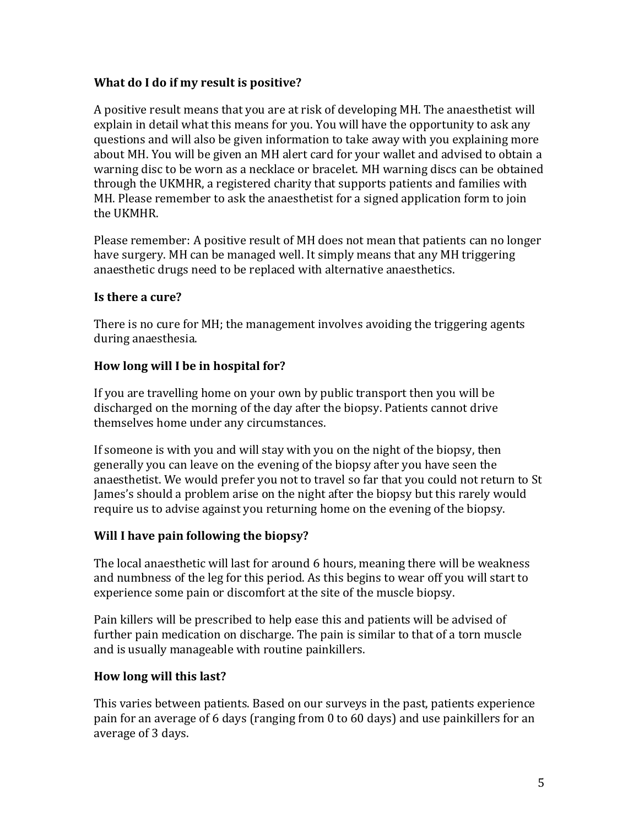### **What do I do if my result is positive?**

A positive result means that you are at risk of developing MH. The anaesthetist will explain in detail what this means for you. You will have the opportunity to ask any questions and will also be given information to take away with you explaining more about MH. You will be given an MH alert card for your wallet and advised to obtain a warning disc to be worn as a necklace or bracelet. MH warning discs can be obtained through the UKMHR, a registered charity that supports patients and families with MH. Please remember to ask the anaesthetist for a signed application form to join the UKMHR.

Please remember: A positive result of MH does not mean that patients can no longer have surgery. MH can be managed well. It simply means that any MH triggering anaesthetic drugs need to be replaced with alternative anaesthetics.

### **Is there a cure?**

There is no cure for MH; the management involves avoiding the triggering agents during anaesthesia.

### **How long will I be in hospital for?**

If you are travelling home on your own by public transport then you will be discharged on the morning of the day after the biopsy. Patients cannot drive themselves home under any circumstances.

If someone is with you and will stay with you on the night of the biopsy, then generally you can leave on the evening of the biopsy after you have seen the anaesthetist. We would prefer you not to travel so far that you could not return to St James's should a problem arise on the night after the biopsy but this rarely would require us to advise against you returning home on the evening of the biopsy.

# **Will I have pain following the biopsy?**

The local anaesthetic will last for around 6 hours, meaning there will be weakness and numbness of the leg for this period. As this begins to wear off you will start to experience some pain or discomfort at the site of the muscle biopsy.

Pain killers will be prescribed to help ease this and patients will be advised of further pain medication on discharge. The pain is similar to that of a torn muscle and is usually manageable with routine painkillers.

# **How long will this last?**

This varies between patients. Based on our surveys in the past, patients experience pain for an average of 6 days (ranging from 0 to 60 days) and use painkillers for an average of 3 days.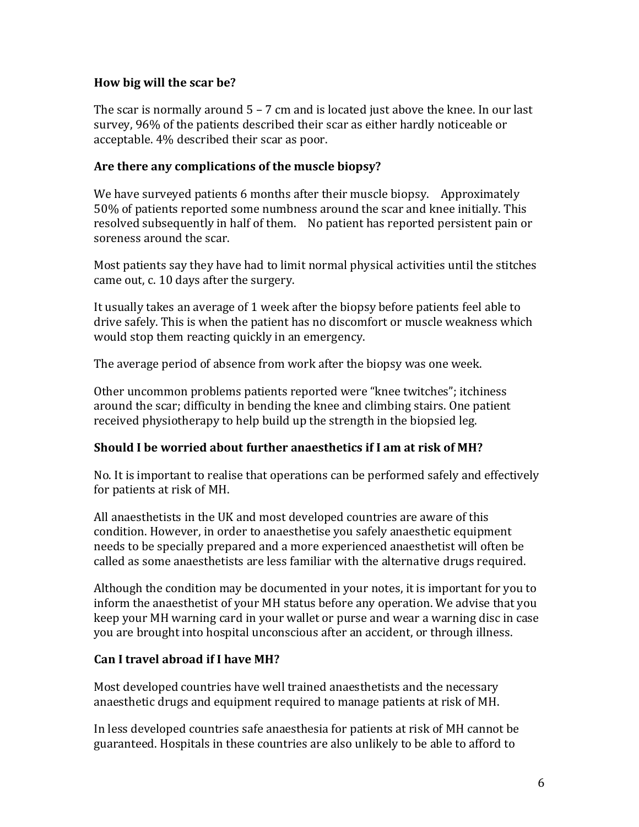### **How big will the scar be?**

The scar is normally around  $5 - 7$  cm and is located just above the knee. In our last survey, 96% of the patients described their scar as either hardly noticeable or acceptable. 4% described their scar as poor.

### **Are there any complications of the muscle biopsy?**

We have surveyed patients 6 months after their muscle biopsy. Approximately 50% of patients reported some numbness around the scar and knee initially. This resolved subsequently in half of them. No patient has reported persistent pain or soreness around the scar.

Most patients say they have had to limit normal physical activities until the stitches came out, c. 10 days after the surgery.

It usually takes an average of 1 week after the biopsy before patients feel able to drive safely. This is when the patient has no discomfort or muscle weakness which would stop them reacting quickly in an emergency.

The average period of absence from work after the biopsy was one week.

Other uncommon problems patients reported were "knee twitches"; itchiness around the scar; difficulty in bending the knee and climbing stairs. One patient received physiotherapy to help build up the strength in the biopsied leg.

# **Should I be worried about further anaesthetics if I am at risk of MH?**

No. It is important to realise that operations can be performed safely and effectively for patients at risk of MH.

All anaesthetists in the UK and most developed countries are aware of this condition. However, in order to anaesthetise you safely anaesthetic equipment needs to be specially prepared and a more experienced anaesthetist will often be called as some anaesthetists are less familiar with the alternative drugs required.

Although the condition may be documented in your notes, it is important for you to inform the anaesthetist of your MH status before any operation. We advise that you keep your MH warning card in your wallet or purse and wear a warning disc in case you are brought into hospital unconscious after an accident, or through illness.

#### **Can I travel abroad if I have MH?**

Most developed countries have well trained anaesthetists and the necessary anaesthetic drugs and equipment required to manage patients at risk of MH.

In less developed countries safe anaesthesia for patients at risk of MH cannot be guaranteed. Hospitals in these countries are also unlikely to be able to afford to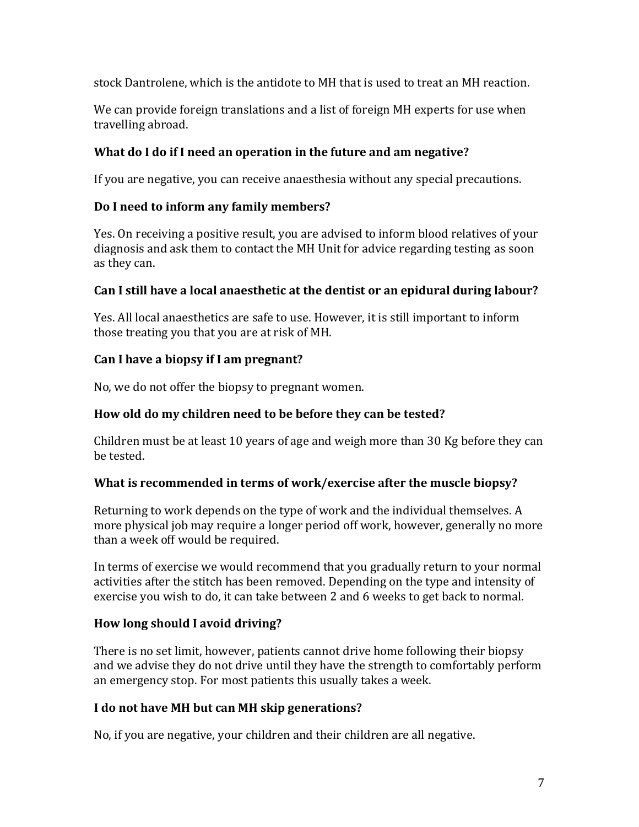stock Dantrolene, which is the antidote to MH that is used to treat an MH reaction.

We can provide foreign translations and a list of foreign MH experts for use when travelling abroad.

# **What do I do if I need an operation in the future and am negative?**

If you are negative, you can receive anaesthesia without any special precautions.

# **Do I need to inform any family members?**

Yes. On receiving a positive result, you are advised to inform blood relatives of your diagnosis and ask them to contact the MH Unit for advice regarding testing as soon as they can.

### **Can I still have a local anaesthetic at the dentist or an epidural during labour?**

Yes. All local anaesthetics are safe to use. However, it is still important to inform those treating you that you are at risk of MH.

# **Can I have a biopsy if I am pregnant?**

No, we do not offer the biopsy to pregnant women.

# **How old do my children need to be before they can be tested?**

Children must be at least 10 years of age and weigh more than 30 Kg before they can be tested.

#### **What is recommended in terms of work/exercise after the muscle biopsy?**

Returning to work depends on the type of work and the individual themselves. A more physical job may require a longer period off work, however, generally no more than a week off would be required.

In terms of exercise we would recommend that you gradually return to your normal activities after the stitch has been removed. Depending on the type and intensity of exercise you wish to do, it can take between 2 and 6 weeks to get back to normal.

# **How long should I avoid driving?**

There is no set limit, however, patients cannot drive home following their biopsy and we advise they do not drive until they have the strength to comfortably perform an emergency stop. For most patients this usually takes a week.

# **I do not have MH but can MH skip generations?**

No, if you are negative, your children and their children are all negative.